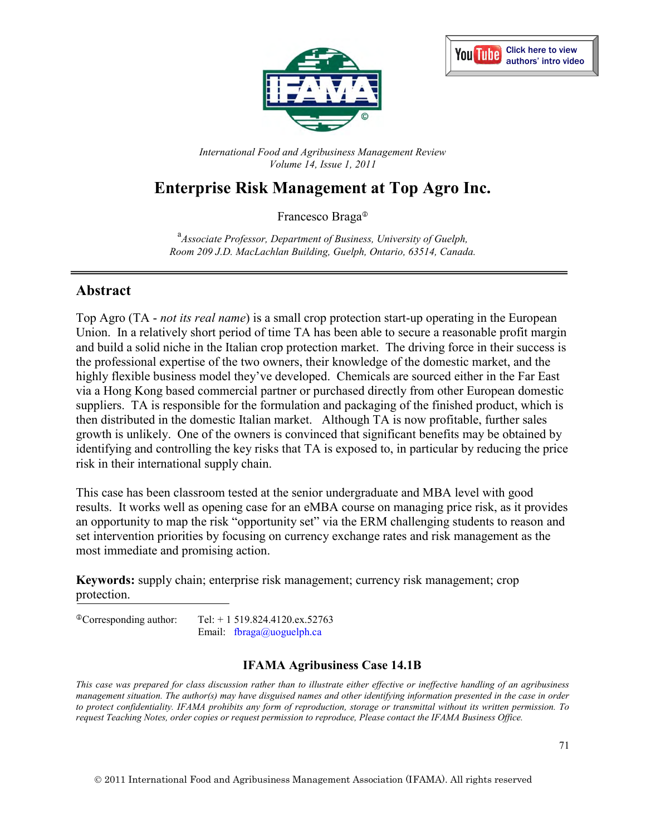



*International Food and Agribusiness Management Review Volume 14, Issue 1, 2011*

# **Enterprise Risk Management at Top Agro Inc.**

Francesco Braga

a *Associate Professor, Department of Business, University of Guelph, Room 209 J.D. MacLachlan Building, Guelph, Ontario, 63514, Canada.*

## **Abstract**

Top Agro (TA - *not its real name*) is a small crop protection start-up operating in the European Union. In a relatively short period of time TA has been able to secure a reasonable profit margin and build a solid niche in the Italian crop protection market. The driving force in their success is the professional expertise of the two owners, their knowledge of the domestic market, and the highly flexible business model they've developed. Chemicals are sourced either in the Far East via a Hong Kong based commercial partner or purchased directly from other European domestic suppliers. TA is responsible for the formulation and packaging of the finished product, which is then distributed in the domestic Italian market. Although TA is now profitable, further sales growth is unlikely. One of the owners is convinced that significant benefits may be obtained by identifying and controlling the key risks that TA is exposed to, in particular by reducing the price risk in their international supply chain.

This case has been classroom tested at the senior undergraduate and MBA level with good results. It works well as opening case for an eMBA course on managing price risk, as it provides an opportunity to map the risk "opportunity set" via the ERM challenging students to reason and set intervention priorities by focusing on currency exchange rates and risk management as the most immediate and promising action.

**Keywords:** supply chain; enterprise risk management; currency risk management; crop protection.

Corresponding author: Tel: + 1 519.824.4120.ex.52763 Email: fbraga@uoguelph.ca

### **IFAMA Agribusiness Case 14.1B**

*This case was prepared for class discussion rather than to illustrate either effective or ineffective handling of an agribusiness management situation. The author(s) may have disguised names and other identifying information presented in the case in order to protect confidentiality. IFAMA prohibits any form of reproduction, storage or transmittal without its written permission. To request Teaching Notes, order copies or request permission to reproduce, Please contact the IFAMA Business Office.*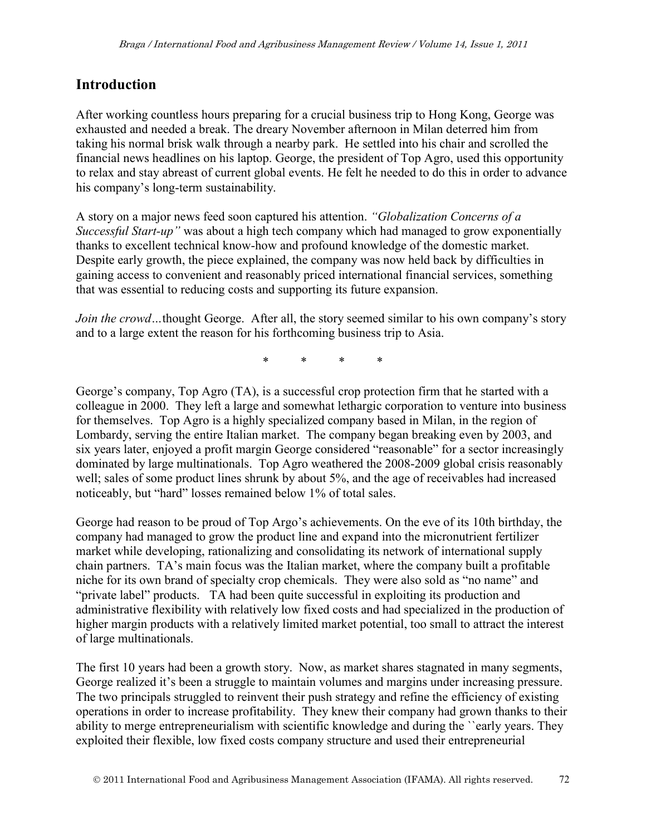## **Introduction**

After working countless hours preparing for a crucial business trip to Hong Kong, George was exhausted and needed a break. The dreary November afternoon in Milan deterred him from taking his normal brisk walk through a nearby park. He settled into his chair and scrolled the financial news headlines on his laptop. George, the president of Top Agro, used this opportunity to relax and stay abreast of current global events. He felt he needed to do this in order to advance his company's long-term sustainability.

A story on a major news feed soon captured his attention. *"Globalization Concerns of a Successful Start-up"* was about a high tech company which had managed to grow exponentially thanks to excellent technical know-how and profound knowledge of the domestic market. Despite early growth, the piece explained, the company was now held back by difficulties in gaining access to convenient and reasonably priced international financial services, something that was essential to reducing costs and supporting its future expansion.

*Join the crowd*...thought George. After all, the story seemed similar to his own company's story and to a large extent the reason for his forthcoming business trip to Asia.

\* \* \* \*

George's company, Top Agro (TA), is a successful crop protection firm that he started with a colleague in 2000. They left a large and somewhat lethargic corporation to venture into business for themselves. Top Agro is a highly specialized company based in Milan, in the region of Lombardy, serving the entire Italian market. The company began breaking even by 2003, and six years later, enjoyed a profit margin George considered "reasonable" for a sector increasingly dominated by large multinationals. Top Agro weathered the 2008-2009 global crisis reasonably well; sales of some product lines shrunk by about 5%, and the age of receivables had increased noticeably, but "hard" losses remained below 1% of total sales.

George had reason to be proud of Top Argo's achievements. On the eve of its 10th birthday, the company had managed to grow the product line and expand into the micronutrient fertilizer market while developing, rationalizing and consolidating its network of international supply chain partners. TA's main focus was the Italian market, where the company built a profitable niche for its own brand of specialty crop chemicals. They were also sold as "no name" and "private label" products. TA had been quite successful in exploiting its production and administrative flexibility with relatively low fixed costs and had specialized in the production of higher margin products with a relatively limited market potential, too small to attract the interest of large multinationals.

The first 10 years had been a growth story. Now, as market shares stagnated in many segments, George realized it's been a struggle to maintain volumes and margins under increasing pressure. The two principals struggled to reinvent their push strategy and refine the efficiency of existing operations in order to increase profitability. They knew their company had grown thanks to their ability to merge entrepreneurialism with scientific knowledge and during the ``early years. They exploited their flexible, low fixed costs company structure and used their entrepreneurial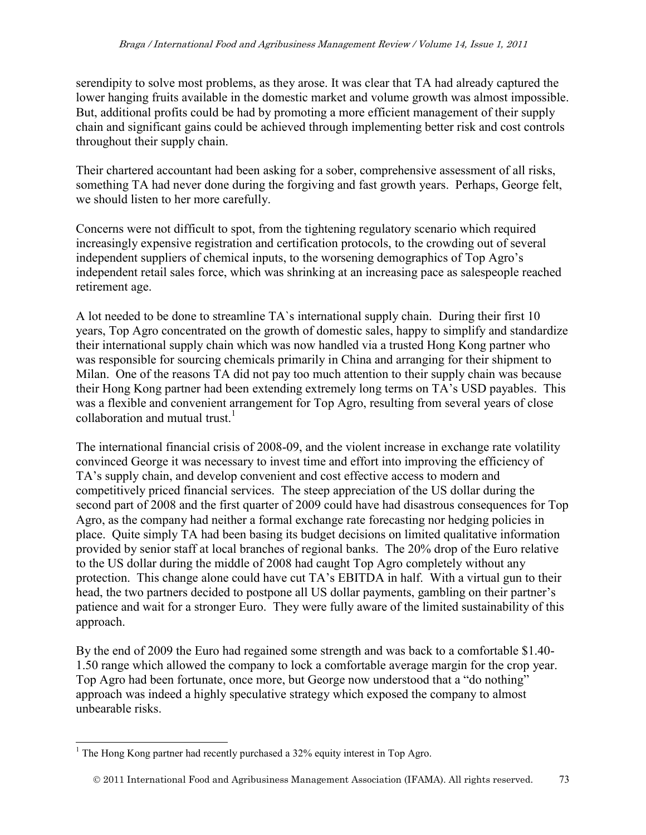serendipity to solve most problems, as they arose. It was clear that TA had already captured the lower hanging fruits available in the domestic market and volume growth was almost impossible. But, additional profits could be had by promoting a more efficient management of their supply chain and significant gains could be achieved through implementing better risk and cost controls throughout their supply chain.

Their chartered accountant had been asking for a sober, comprehensive assessment of all risks, something TA had never done during the forgiving and fast growth years. Perhaps, George felt, we should listen to her more carefully.

Concerns were not difficult to spot, from the tightening regulatory scenario which required increasingly expensive registration and certification protocols, to the crowding out of several independent suppliers of chemical inputs, to the worsening demographics of Top Agro's independent retail sales force, which was shrinking at an increasing pace as salespeople reached retirement age.

A lot needed to be done to streamline TA`s international supply chain. During their first 10 years, Top Agro concentrated on the growth of domestic sales, happy to simplify and standardize their international supply chain which was now handled via a trusted Hong Kong partner who was responsible for sourcing chemicals primarily in China and arranging for their shipment to Milan. One of the reasons TA did not pay too much attention to their supply chain was because their Hong Kong partner had been extending extremely long terms on TA's USD payables. This was a flexible and convenient arrangement for Top Agro, resulting from several years of close collaboration and mutual trust.<sup>1</sup>

The international financial crisis of 2008-09, and the violent increase in exchange rate volatility convinced George it was necessary to invest time and effort into improving the efficiency of TA's supply chain, and develop convenient and cost effective access to modern and competitively priced financial services. The steep appreciation of the US dollar during the second part of 2008 and the first quarter of 2009 could have had disastrous consequences for Top Agro, as the company had neither a formal exchange rate forecasting nor hedging policies in place. Quite simply TA had been basing its budget decisions on limited qualitative information provided by senior staff at local branches of regional banks. The 20% drop of the Euro relative to the US dollar during the middle of 2008 had caught Top Agro completely without any protection. This change alone could have cut TA's EBITDA in half. With a virtual gun to their head, the two partners decided to postpone all US dollar payments, gambling on their partner's patience and wait for a stronger Euro. They were fully aware of the limited sustainability of this approach.

By the end of 2009 the Euro had regained some strength and was back to a comfortable \$1.40- 1.50 range which allowed the company to lock a comfortable average margin for the crop year. Top Agro had been fortunate, once more, but George now understood that a "do nothing" approach was indeed a highly speculative strategy which exposed the company to almost unbearable risks.

 $\overline{a}$ <sup>1</sup> The Hong Kong partner had recently purchased a 32% equity interest in Top Agro.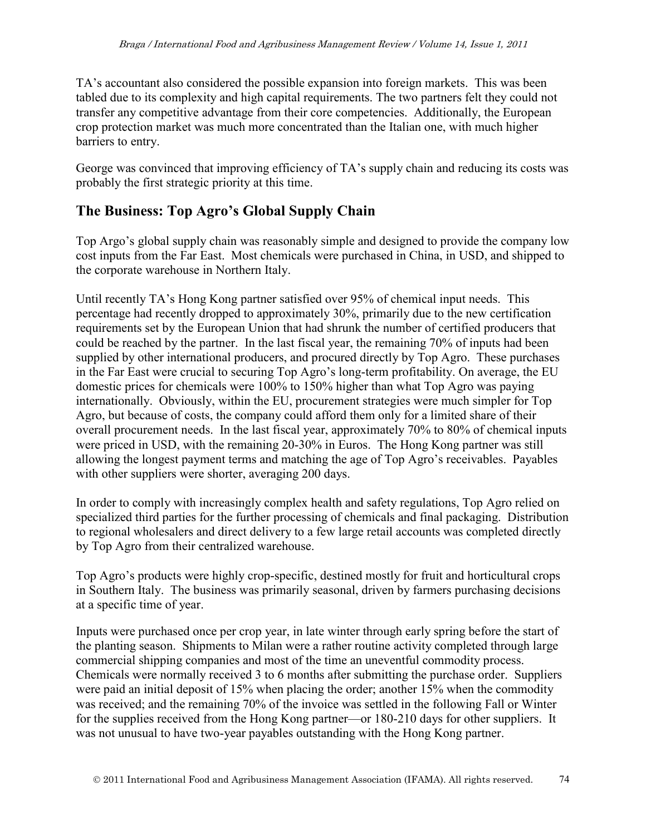TA's accountant also considered the possible expansion into foreign markets. This was been tabled due to its complexity and high capital requirements. The two partners felt they could not transfer any competitive advantage from their core competencies. Additionally, the European crop protection market was much more concentrated than the Italian one, with much higher barriers to entry.

George was convinced that improving efficiency of TA's supply chain and reducing its costs was probably the first strategic priority at this time.

## **The Business: Top Agro's Global Supply Chain**

Top Argo's global supply chain was reasonably simple and designed to provide the company low cost inputs from the Far East. Most chemicals were purchased in China, in USD, and shipped to the corporate warehouse in Northern Italy.

Until recently TA's Hong Kong partner satisfied over 95% of chemical input needs. This percentage had recently dropped to approximately 30%, primarily due to the new certification requirements set by the European Union that had shrunk the number of certified producers that could be reached by the partner. In the last fiscal year, the remaining 70% of inputs had been supplied by other international producers, and procured directly by Top Agro. These purchases in the Far East were crucial to securing Top Agro's long-term profitability. On average, the EU domestic prices for chemicals were 100% to 150% higher than what Top Agro was paying internationally. Obviously, within the EU, procurement strategies were much simpler for Top Agro, but because of costs, the company could afford them only for a limited share of their overall procurement needs. In the last fiscal year, approximately 70% to 80% of chemical inputs were priced in USD, with the remaining 20-30% in Euros. The Hong Kong partner was still allowing the longest payment terms and matching the age of Top Agro's receivables. Payables with other suppliers were shorter, averaging 200 days.

In order to comply with increasingly complex health and safety regulations, Top Agro relied on specialized third parties for the further processing of chemicals and final packaging. Distribution to regional wholesalers and direct delivery to a few large retail accounts was completed directly by Top Agro from their centralized warehouse.

Top Agro's products were highly crop-specific, destined mostly for fruit and horticultural crops in Southern Italy. The business was primarily seasonal, driven by farmers purchasing decisions at a specific time of year.

Inputs were purchased once per crop year, in late winter through early spring before the start of the planting season. Shipments to Milan were a rather routine activity completed through large commercial shipping companies and most of the time an uneventful commodity process. Chemicals were normally received 3 to 6 months after submitting the purchase order. Suppliers were paid an initial deposit of 15% when placing the order; another 15% when the commodity was received; and the remaining 70% of the invoice was settled in the following Fall or Winter for the supplies received from the Hong Kong partner—or 180-210 days for other suppliers. It was not unusual to have two-year payables outstanding with the Hong Kong partner.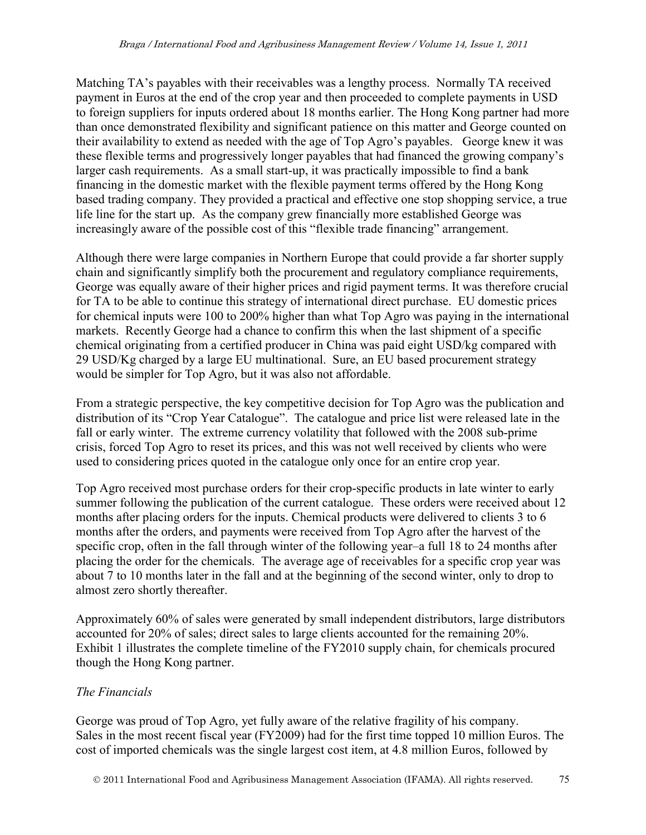Matching TA's payables with their receivables was a lengthy process. Normally TA received payment in Euros at the end of the crop year and then proceeded to complete payments in USD to foreign suppliers for inputs ordered about 18 months earlier. The Hong Kong partner had more than once demonstrated flexibility and significant patience on this matter and George counted on their availability to extend as needed with the age of Top Agro's payables. George knew it was these flexible terms and progressively longer payables that had financed the growing company's larger cash requirements. As a small start-up, it was practically impossible to find a bank financing in the domestic market with the flexible payment terms offered by the Hong Kong based trading company. They provided a practical and effective one stop shopping service, a true life line for the start up. As the company grew financially more established George was increasingly aware of the possible cost of this "flexible trade financing" arrangement.

Although there were large companies in Northern Europe that could provide a far shorter supply chain and significantly simplify both the procurement and regulatory compliance requirements, George was equally aware of their higher prices and rigid payment terms. It was therefore crucial for TA to be able to continue this strategy of international direct purchase. EU domestic prices for chemical inputs were 100 to 200% higher than what Top Agro was paying in the international markets. Recently George had a chance to confirm this when the last shipment of a specific chemical originating from a certified producer in China was paid eight USD/kg compared with 29 USD/Kg charged by a large EU multinational. Sure, an EU based procurement strategy would be simpler for Top Agro, but it was also not affordable.

From a strategic perspective, the key competitive decision for Top Agro was the publication and distribution of its "Crop Year Catalogue". The catalogue and price list were released late in the fall or early winter. The extreme currency volatility that followed with the 2008 sub-prime crisis, forced Top Agro to reset its prices, and this was not well received by clients who were used to considering prices quoted in the catalogue only once for an entire crop year.

Top Agro received most purchase orders for their crop-specific products in late winter to early summer following the publication of the current catalogue. These orders were received about 12 months after placing orders for the inputs. Chemical products were delivered to clients 3 to 6 months after the orders, and payments were received from Top Agro after the harvest of the specific crop, often in the fall through winter of the following year–a full 18 to 24 months after placing the order for the chemicals. The average age of receivables for a specific crop year was about 7 to 10 months later in the fall and at the beginning of the second winter, only to drop to almost zero shortly thereafter.

Approximately 60% of sales were generated by small independent distributors, large distributors accounted for 20% of sales; direct sales to large clients accounted for the remaining 20%. Exhibit 1 illustrates the complete timeline of the FY2010 supply chain, for chemicals procured though the Hong Kong partner.

## *The Financials*

George was proud of Top Agro, yet fully aware of the relative fragility of his company. Sales in the most recent fiscal year (FY2009) had for the first time topped 10 million Euros. The cost of imported chemicals was the single largest cost item, at 4.8 million Euros, followed by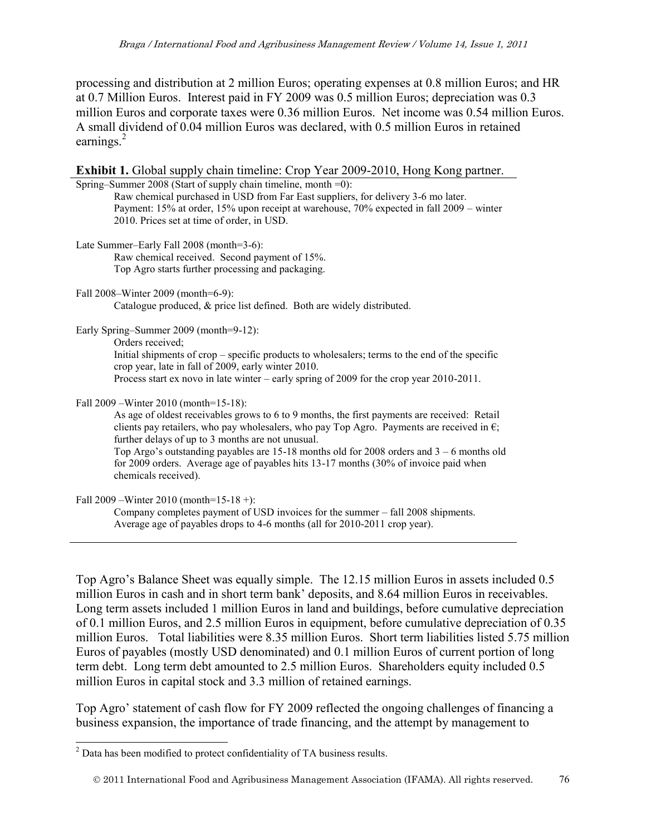processing and distribution at 2 million Euros; operating expenses at 0.8 million Euros; and HR at 0.7 Million Euros. Interest paid in FY 2009 was 0.5 million Euros; depreciation was 0.3 million Euros and corporate taxes were 0.36 million Euros. Net income was 0.54 million Euros. A small dividend of 0.04 million Euros was declared, with 0.5 million Euros in retained earnings.<sup>2</sup>

| Exhibit 1. Global supply chain timeline: Crop Year 2009-2010, Hong Kong partner.                                                                                                                                                                         |
|----------------------------------------------------------------------------------------------------------------------------------------------------------------------------------------------------------------------------------------------------------|
| Spring–Summer 2008 (Start of supply chain timeline, month $=0$ ):                                                                                                                                                                                        |
| Raw chemical purchased in USD from Far East suppliers, for delivery 3-6 mo later.                                                                                                                                                                        |
| Payment: 15% at order, 15% upon receipt at warehouse, 70% expected in fall 2009 – winter                                                                                                                                                                 |
| 2010. Prices set at time of order, in USD.                                                                                                                                                                                                               |
| Late Summer-Early Fall 2008 (month=3-6):                                                                                                                                                                                                                 |
| Raw chemical received. Second payment of 15%.                                                                                                                                                                                                            |
| Top Agro starts further processing and packaging.                                                                                                                                                                                                        |
| Fall 2008-Winter 2009 (month=6-9):                                                                                                                                                                                                                       |
| Catalogue produced, & price list defined. Both are widely distributed.                                                                                                                                                                                   |
| Early Spring–Summer 2009 (month=9-12):                                                                                                                                                                                                                   |
| Orders received;                                                                                                                                                                                                                                         |
| Initial shipments of crop – specific products to wholesalers; terms to the end of the specific<br>crop year, late in fall of 2009, early winter 2010.                                                                                                    |
| Process start ex novo in late winter – early spring of 2009 for the crop year 2010-2011.                                                                                                                                                                 |
| Fall 2009 – Winter 2010 (month=15-18):                                                                                                                                                                                                                   |
| As age of oldest receivables grows to 6 to 9 months, the first payments are received: Retail<br>clients pay retailers, who pay wholesalers, who pay Top Agro. Payments are received in $\epsilon$ ;<br>further delays of up to 3 months are not unusual. |
| Top Argo's outstanding payables are $15-18$ months old for 2008 orders and $3-6$ months old<br>for 2009 orders. Average age of payables hits 13-17 months (30% of invoice paid when<br>chemicals received).                                              |
| Fall 2009 – Winter 2010 (month= $15-18$ +):                                                                                                                                                                                                              |
| Company completes payment of USD invoices for the summer - fall 2008 shipments.                                                                                                                                                                          |

Average age of payables drops to 4-6 months (all for 2010-2011 crop year).

Top Agro's Balance Sheet was equally simple. The 12.15 million Euros in assets included 0.5 million Euros in cash and in short term bank' deposits, and 8.64 million Euros in receivables. Long term assets included 1 million Euros in land and buildings, before cumulative depreciation of 0.1 million Euros, and 2.5 million Euros in equipment, before cumulative depreciation of 0.35 million Euros. Total liabilities were 8.35 million Euros. Short term liabilities listed 5.75 million Euros of payables (mostly USD denominated) and 0.1 million Euros of current portion of long term debt. Long term debt amounted to 2.5 million Euros. Shareholders equity included 0.5 million Euros in capital stock and 3.3 million of retained earnings.

Top Agro' statement of cash flow for FY 2009 reflected the ongoing challenges of financing a business expansion, the importance of trade financing, and the attempt by management to

 2 Data has been modified to protect confidentiality of TA business results.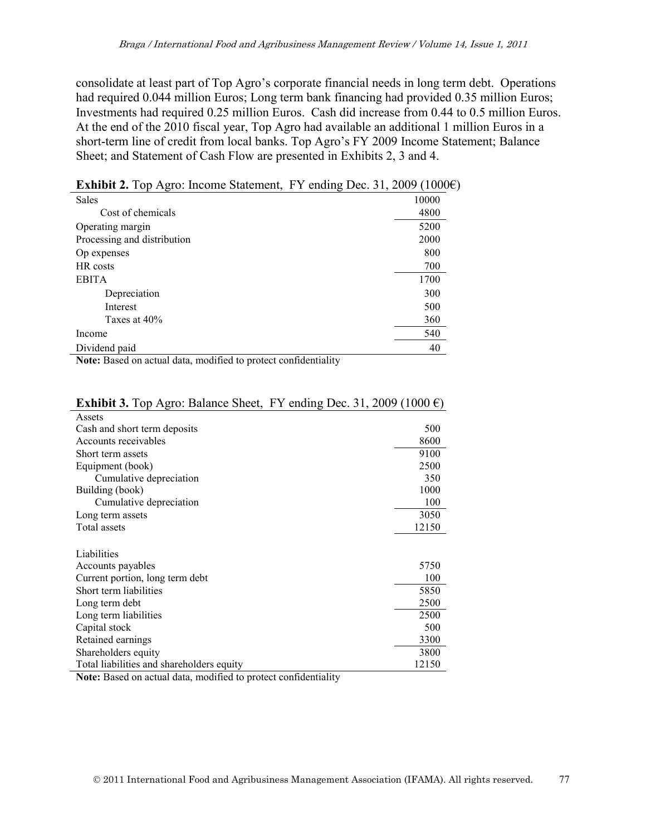consolidate at least part of Top Agro's corporate financial needs in long term debt. Operations had required 0.044 million Euros; Long term bank financing had provided 0.35 million Euros; Investments had required 0.25 million Euros. Cash did increase from 0.44 to 0.5 million Euros. At the end of the 2010 fiscal year, Top Agro had available an additional 1 million Euros in a short-term line of credit from local banks. Top Agro's FY 2009 Income Statement; Balance Sheet; and Statement of Cash Flow are presented in Exhibits 2, 3 and 4.

| <b>Sales</b>                                                                                                                                                                                                                                                                                                                                                                                                                                                                                                                                                                                                                                                                                        | 10000                           |
|-----------------------------------------------------------------------------------------------------------------------------------------------------------------------------------------------------------------------------------------------------------------------------------------------------------------------------------------------------------------------------------------------------------------------------------------------------------------------------------------------------------------------------------------------------------------------------------------------------------------------------------------------------------------------------------------------------|---------------------------------|
| Cost of chemicals                                                                                                                                                                                                                                                                                                                                                                                                                                                                                                                                                                                                                                                                                   | 4800                            |
| Operating margin                                                                                                                                                                                                                                                                                                                                                                                                                                                                                                                                                                                                                                                                                    | 5200                            |
| Processing and distribution                                                                                                                                                                                                                                                                                                                                                                                                                                                                                                                                                                                                                                                                         | 2000                            |
| Op expenses                                                                                                                                                                                                                                                                                                                                                                                                                                                                                                                                                                                                                                                                                         | 800                             |
| HR costs                                                                                                                                                                                                                                                                                                                                                                                                                                                                                                                                                                                                                                                                                            | 700                             |
| <b>EBITA</b>                                                                                                                                                                                                                                                                                                                                                                                                                                                                                                                                                                                                                                                                                        | 1700                            |
| Depreciation                                                                                                                                                                                                                                                                                                                                                                                                                                                                                                                                                                                                                                                                                        | 300                             |
| Interest                                                                                                                                                                                                                                                                                                                                                                                                                                                                                                                                                                                                                                                                                            | 500                             |
| Taxes at 40%                                                                                                                                                                                                                                                                                                                                                                                                                                                                                                                                                                                                                                                                                        | 360                             |
| Income                                                                                                                                                                                                                                                                                                                                                                                                                                                                                                                                                                                                                                                                                              | 540                             |
| Dividend paid                                                                                                                                                                                                                                                                                                                                                                                                                                                                                                                                                                                                                                                                                       | 40                              |
| $\mathbf{1}^{\mathsf{T}}$ $\mathbf{C}^{\mathsf{T}}$ $\mathbf{1}$ $\mathbf{1}$ $\mathbf{1}$ $\mathbf{1}$ $\mathbf{1}$ $\mathbf{1}$ $\mathbf{1}$ $\mathbf{1}$ $\mathbf{1}$ $\mathbf{1}$ $\mathbf{1}$ $\mathbf{1}$ $\mathbf{1}$ $\mathbf{1}$ $\mathbf{1}$ $\mathbf{1}$ $\mathbf{1}$ $\mathbf{1}$ $\mathbf{1}$ $\mathbf{1}$ $\mathbf{1}$ $\$<br>$\cdots$ $\cdots$<br>$\mathbf{M}$ $\mathbf{N}$ $\mathbf{N}$ $\mathbf{N}$ $\mathbf{N}$ $\mathbf{N}$ $\mathbf{N}$ $\mathbf{N}$ $\mathbf{N}$ $\mathbf{N}$ $\mathbf{N}$ $\mathbf{N}$ $\mathbf{N}$ $\mathbf{N}$ $\mathbf{N}$ $\mathbf{N}$ $\mathbf{N}$ $\mathbf{N}$ $\mathbf{N}$ $\mathbf{N}$ $\mathbf{N}$ $\mathbf{N}$ $\mathbf{N}$ $\mathbf{N}$ $\mathbf{$ | $\alpha$ in the set of $\alpha$ |

**Exhibit 2.** Top Agro: Income Statement, FY ending Dec. 31, 2009 (1000€)

**Note:** Based on actual data, modified to protect confidentiality

| Assets                                                                                                                                                                                                                                                                                                         |       |
|----------------------------------------------------------------------------------------------------------------------------------------------------------------------------------------------------------------------------------------------------------------------------------------------------------------|-------|
| Cash and short term deposits                                                                                                                                                                                                                                                                                   | 500   |
| Accounts receivables                                                                                                                                                                                                                                                                                           | 8600  |
| Short term assets                                                                                                                                                                                                                                                                                              | 9100  |
| Equipment (book)                                                                                                                                                                                                                                                                                               | 2500  |
| Cumulative depreciation                                                                                                                                                                                                                                                                                        | 350   |
| Building (book)                                                                                                                                                                                                                                                                                                | 1000  |
| Cumulative depreciation                                                                                                                                                                                                                                                                                        | 100   |
| Long term assets                                                                                                                                                                                                                                                                                               | 3050  |
| Total assets                                                                                                                                                                                                                                                                                                   | 12150 |
|                                                                                                                                                                                                                                                                                                                |       |
| Liabilities                                                                                                                                                                                                                                                                                                    |       |
| Accounts payables                                                                                                                                                                                                                                                                                              | 5750  |
| Current portion, long term debt                                                                                                                                                                                                                                                                                | 100   |
| Short term liabilities                                                                                                                                                                                                                                                                                         | 5850  |
| Long term debt                                                                                                                                                                                                                                                                                                 | 2500  |
| Long term liabilities                                                                                                                                                                                                                                                                                          | 2500  |
| Capital stock                                                                                                                                                                                                                                                                                                  | 500   |
| Retained earnings                                                                                                                                                                                                                                                                                              | 3300  |
| Shareholders equity                                                                                                                                                                                                                                                                                            | 3800  |
| Total liabilities and shareholders equity                                                                                                                                                                                                                                                                      | 12150 |
| $\alpha$ 1 $\beta$ 1 $\beta$<br>$\mathbf{M}$ is the contract of $\mathbf{M}$ in the contract of $\mathbf{M}$ is the contract of $\mathbf{M}$ is the contract of $\mathbf{M}$ is the contract of $\mathbf{M}$ is the contract of $\mathbf{M}$ is the contract of $\mathbf{M}$ is the contract<br>$1.67 \pm 1.1$ |       |

#### **Exhibit 3.** Top Agro: Balance Sheet, FY ending Dec. 31, 2009 (1000 $\epsilon$ )

**Note:** Based on actual data, modified to protect confidentiality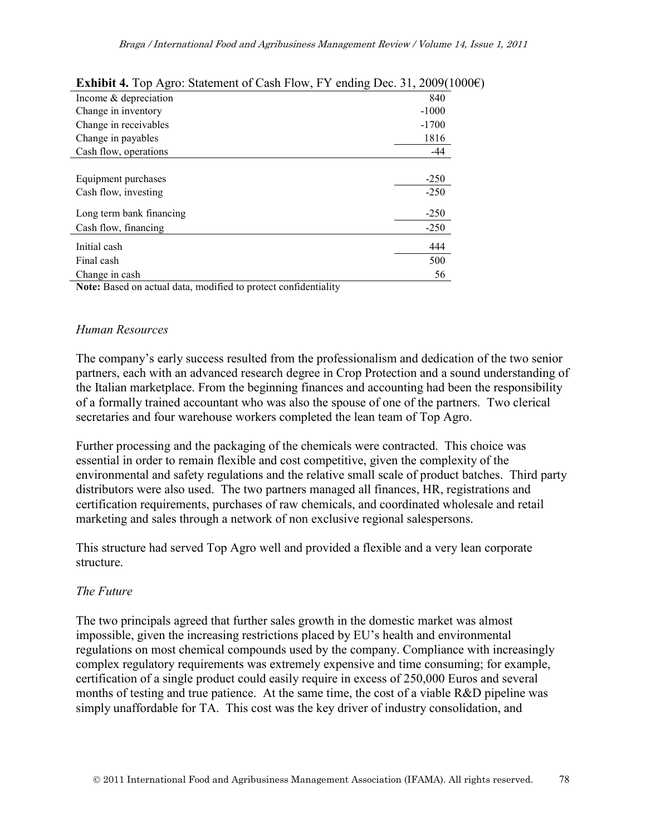| <b>EXHIBIT 7.</b> TOP Agro. Statement of Cash Flow, F.T. Chaing Dec. 31, 2007(TOO |         |
|-----------------------------------------------------------------------------------|---------|
| Income $&$ depreciation                                                           | 840     |
| Change in inventory                                                               | $-1000$ |
| Change in receivables                                                             | $-1700$ |
| Change in payables                                                                | 1816    |
| Cash flow, operations                                                             | $-44$   |
|                                                                                   |         |
| Equipment purchases                                                               | $-250$  |
| Cash flow, investing                                                              | $-250$  |
| Long term bank financing                                                          | $-250$  |
| Cash flow, financing                                                              | $-250$  |
| Initial cash                                                                      | 444     |
| Final cash                                                                        | 500     |
| Change in cash                                                                    | 56      |
| <b>Note:</b> Based on actual data, modified to protect confidentiality            |         |

### **Exhibit 4.** Top Agro: Statement of Cash Flow, FY ending Dec. 31, 2009(1000€).

#### *Human Resources*

The company's early success resulted from the professionalism and dedication of the two senior partners, each with an advanced research degree in Crop Protection and a sound understanding of the Italian marketplace. From the beginning finances and accounting had been the responsibility of a formally trained accountant who was also the spouse of one of the partners. Two clerical secretaries and four warehouse workers completed the lean team of Top Agro.

Further processing and the packaging of the chemicals were contracted. This choice was essential in order to remain flexible and cost competitive, given the complexity of the environmental and safety regulations and the relative small scale of product batches. Third party distributors were also used. The two partners managed all finances, HR, registrations and certification requirements, purchases of raw chemicals, and coordinated wholesale and retail marketing and sales through a network of non exclusive regional salespersons.

This structure had served Top Agro well and provided a flexible and a very lean corporate structure.

### *The Future*

The two principals agreed that further sales growth in the domestic market was almost impossible, given the increasing restrictions placed by EU's health and environmental regulations on most chemical compounds used by the company. Compliance with increasingly complex regulatory requirements was extremely expensive and time consuming; for example, certification of a single product could easily require in excess of 250,000 Euros and several months of testing and true patience. At the same time, the cost of a viable R&D pipeline was simply unaffordable for TA. This cost was the key driver of industry consolidation, and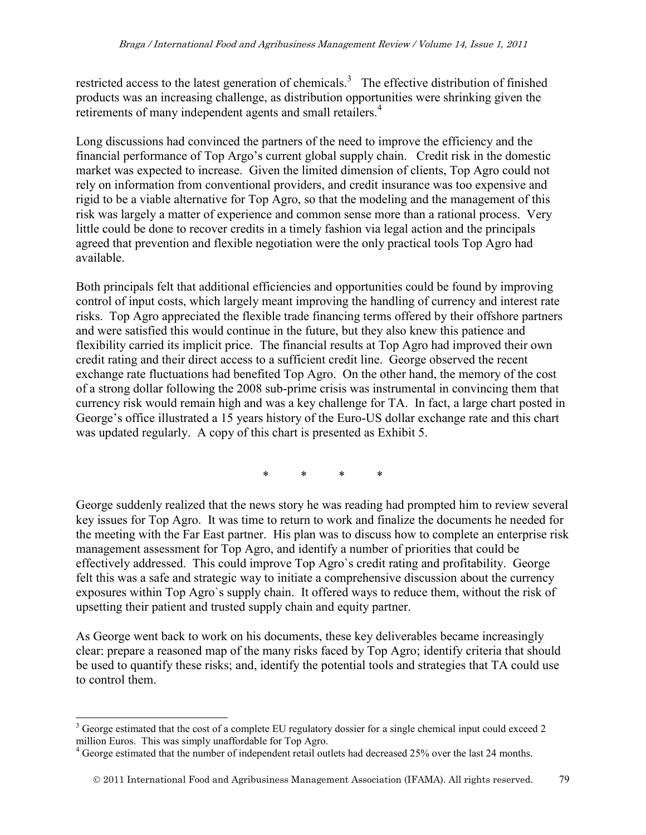restricted access to the latest generation of chemicals.<sup>3</sup> The effective distribution of finished products was an increasing challenge, as distribution opportunities were shrinking given the retirements of many independent agents and small retailers.<sup>4</sup>

Long discussions had convinced the partners of the need to improve the efficiency and the financial performance of Top Argo's current global supply chain. Credit risk in the domestic market was expected to increase. Given the limited dimension of clients, Top Agro could not rely on information from conventional providers, and credit insurance was too expensive and rigid to be a viable alternative for Top Agro, so that the modeling and the management of this risk was largely a matter of experience and common sense more than a rational process. Very little could be done to recover credits in a timely fashion via legal action and the principals agreed that prevention and flexible negotiation were the only practical tools Top Agro had available.

Both principals felt that additional efficiencies and opportunities could be found by improving control of input costs, which largely meant improving the handling of currency and interest rate risks. Top Agro appreciated the flexible trade financing terms offered by their offshore partners and were satisfied this would continue in the future, but they also knew this patience and flexibility carried its implicit price. The financial results at Top Agro had improved their own credit rating and their direct access to a sufficient credit line. George observed the recent exchange rate fluctuations had benefited Top Agro. On the other hand, the memory of the cost of a strong dollar following the 2008 sub-prime crisis was instrumental in convincing them that currency risk would remain high and was a key challenge for TA. In fact, a large chart posted in George's office illustrated a 15 years history of the Euro-US dollar exchange rate and this chart was updated regularly. A copy of this chart is presented as Exhibit 5.

\* \* \* \*

George suddenly realized that the news story he was reading had prompted him to review several key issues for Top Agro. It was time to return to work and finalize the documents he needed for the meeting with the Far East partner. His plan was to discuss how to complete an enterprise risk management assessment for Top Agro, and identify a number of priorities that could be effectively addressed. This could improve Top Agro`s credit rating and profitability. George felt this was a safe and strategic way to initiate a comprehensive discussion about the currency exposures within Top Agro`s supply chain. It offered ways to reduce them, without the risk of upsetting their patient and trusted supply chain and equity partner.

As George went back to work on his documents, these key deliverables became increasingly clear: prepare a reasoned map of the many risks faced by Top Agro; identify criteria that should be used to quantify these risks; and, identify the potential tools and strategies that TA could use to control them.

 $\overline{a}$  $3$  George estimated that the cost of a complete EU regulatory dossier for a single chemical input could exceed 2 million Euros. This was simply unaffordable for Top Agro.

<sup>&</sup>lt;sup>4</sup> George estimated that the number of independent retail outlets had decreased 25% over the last 24 months.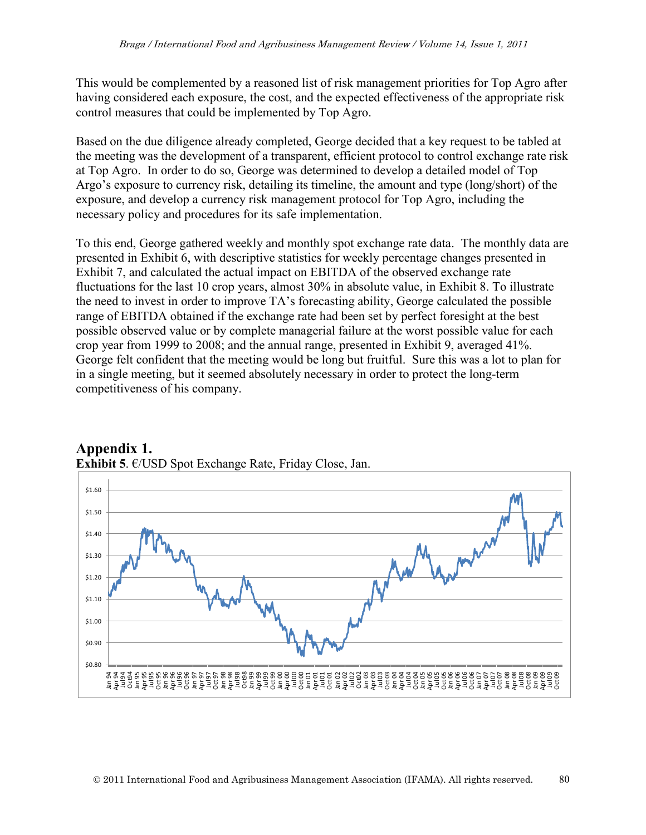This would be complemented by a reasoned list of risk management priorities for Top Agro after having considered each exposure, the cost, and the expected effectiveness of the appropriate risk control measures that could be implemented by Top Agro.

Based on the due diligence already completed, George decided that a key request to be tabled at the meeting was the development of a transparent, efficient protocol to control exchange rate risk at Top Agro. In order to do so, George was determined to develop a detailed model of Top Argo's exposure to currency risk, detailing its timeline, the amount and type (long/short) of the exposure, and develop a currency risk management protocol for Top Agro, including the necessary policy and procedures for its safe implementation.

To this end, George gathered weekly and monthly spot exchange rate data. The monthly data are presented in Exhibit 6, with descriptive statistics for weekly percentage changes presented in Exhibit 7, and calculated the actual impact on EBITDA of the observed exchange rate fluctuations for the last 10 crop years, almost 30% in absolute value, in Exhibit 8. To illustrate the need to invest in order to improve TA's forecasting ability, George calculated the possible range of EBITDA obtained if the exchange rate had been set by perfect foresight at the best possible observed value or by complete managerial failure at the worst possible value for each crop year from 1999 to 2008; and the annual range, presented in Exhibit 9, averaged 41%. George felt confident that the meeting would be long but fruitful. Sure this was a lot to plan for in a single meeting, but it seemed absolutely necessary in order to protect the long-term competitiveness of his company.



## **Appendix 1. Exhibit 5**. €/USD Spot Exchange Rate, Friday Close, Jan.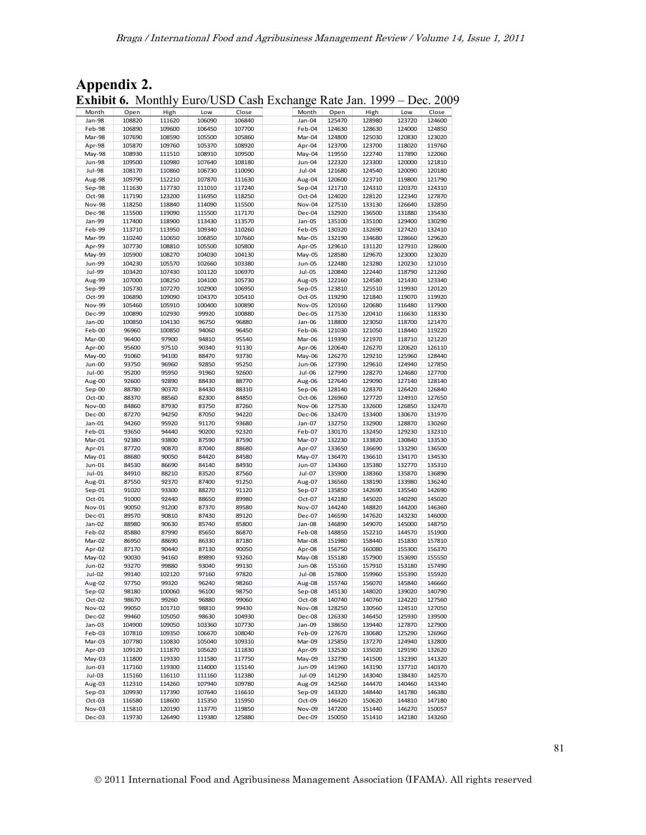| Appendix 2. |                                                                             |  |
|-------------|-----------------------------------------------------------------------------|--|
|             | <b>Exhibit 6.</b> Monthly Euro/USD Cash Exchange Rate Jan. 1999 – Dec. 2009 |  |

|                  |                  |                  |                  | <b>Exhibit 6.</b> Monthly Euro/USD Cash Exchange Rate Jan. 1999 – Dec. 200 |                  |                  |                  |                  |                  |
|------------------|------------------|------------------|------------------|----------------------------------------------------------------------------|------------------|------------------|------------------|------------------|------------------|
| Month            | Open             | High             | Low              | Close                                                                      | Month            | Open             | High             | Low              | Close            |
| Jan-98<br>Feb-98 | 108820<br>106890 | 111620<br>109600 | 106090<br>106450 | 106840<br>107700                                                           | Jan-04<br>Feb-04 | 125470<br>124630 | 128980<br>128630 | 123720<br>124000 | 124600<br>124850 |
| Mar-98           | 107690           | 108590           | 105500           | 105860                                                                     | Mar-04           | 124800           | 125030           | 120830           | 123020           |
| Apr-98           | 105870           | 109760           | 105370           | 108920                                                                     | Apr-04           | 123700           | 123700           | 118020           | 119760           |
| May-98           | 108930           | 111510           | 108910           | 109500                                                                     | May-04           | 119550           | 122740           | 117890           | 122060           |
| <b>Jun-98</b>    | 109500           | 110980           | 107640           | 108180                                                                     | Jun-04           | 122320           | 123300           | 120000           | 121810           |
| Jul-98           | 108170           | 110860           | 106730           | 110090                                                                     | Jul-04           | 121680           | 124540           | 120090           | 120180           |
| Aug-98           | 109790           | 112210           | 107870           | 111630                                                                     | Aug-04           | 120600           | 123710           | 119800           | 121790           |
| Sep-98           | 111630           | 117730           | 111010           | 117240                                                                     | Sep-04           | 121710           | 124310           | 120370           | 124310           |
| Oct-98           | 117190           | 123200           | 116950           | 118250                                                                     | Oct-04           | 124020           | 128120           | 122340           | 127870           |
| <b>Nov-98</b>    | 118250           | 118840           | 114090           | 115500                                                                     | Nov-04           | 127510           | 133130           | 126640           | 132850           |
| Dec-98<br>Jan-99 | 115500<br>117400 | 119090<br>118900 | 115500<br>113430 | 117170<br>113570                                                           | Dec-04<br>Jan-05 | 132920<br>135100 | 136500<br>135100 | 131880<br>129400 | 135430<br>130290 |
| Feb-99           | 113710           | 113950           | 109340           | 110260                                                                     | Feb-05           | 130320           | 132690           | 127420           | 132410           |
| Mar-99           | 110240           | 110650           | 106850           | 107660                                                                     | Mar-05           | 132190           | 134680           | 128660           | 129620           |
| Apr-99           | 107730           | 108810           | 105500           | 105800                                                                     | Apr-05           | 129610           | 131120           | 127910           | 128600           |
| May-99           | 105900           | 108270           | 104030           | 104130                                                                     | May-05           | 128580           | 129670           | 123000           | 123020           |
| Jun-99           | 104230           | 105570           | 102660           | 103380                                                                     | Jun-05           | 122480           | 123280           | 120230           | 121010           |
| Jul-99           | 103420           | 107430           | 101120           | 106970                                                                     | $Jul-05$         | 120840           | 122440           | 118790           | 121260           |
| Aug-99           | 107000           | 108250           | 104100           | 105730                                                                     | Aug-05           | 122160           | 124580           | 121430           | 123340           |
| Sep-99           | 105730           | 107270           | 102900           | 106950                                                                     | $Sep-05$         | 123810           | 125510           | 119930           | 120120           |
| Oct-99           | 106890           | 109090           | 104370           | 105410                                                                     | Oct-05           | 119290           | 121840           | 119070           | 119920           |
| Nov-99           | 105460           | 105910           | 100400           | 100890                                                                     | <b>Nov-05</b>    | 120160           | 120680           | 116480           | 117900           |
| Dec-99<br>Jan-00 | 100890<br>100850 | 102930           | 99920            | 100880<br>96880                                                            | Dec-05           | 117530           | 120410<br>123050 | 116630           | 118330<br>121470 |
| Feb-00           | 96960            | 104130<br>100850 | 96750<br>94060   | 96450                                                                      | Jan-06<br>Feb-06 | 118800<br>121030 | 121050           | 118700<br>118440 | 119220           |
| Mar-00           | 96400            | 97900            | 94810            | 95540                                                                      | Mar-06           | 119390           | 121970           | 118710           | 121220           |
| Apr-00           | 95600            | 97510            | 90340            | 91130                                                                      | Apr-06           | 120640           | 126270           | 120620           | 126110           |
| May-00           | 91060            | 94100            | 88470            | 93730                                                                      | May-06           | 126270           | 129210           | 125960           | 128440           |
| Jun-00           | 93750            | 96960            | 92850            | 95250                                                                      | Jun-06           | 127390           | 129610           | 124940           | 127850           |
| Jul-00           | 95200            | 95950            | 91960            | 92600                                                                      | $Jul-06$         | 127990           | 128270           | 124680           | 127700           |
| Aug-00           | 92600            | 92890            | 88430            | 88770                                                                      | Aug-06           | 127640           | 129090           | 127140           | 128140           |
| $Sep-00$         | 88780            | 90370            | 84430            | 88310                                                                      | $Sep-06$         | 128140           | 128370           | 126420           | 126840           |
| Oct-00           | 88370            | 88560            | 82300            | 84850                                                                      | Oct-06           | 126960           | 127720           | 124910           | 127650           |
| Nov-00           | 84860            | 87930            | 83750            | 87260                                                                      | Nov-06           | 127530           | 132600           | 126850           | 132470           |
| Dec-00<br>Jan-01 | 87270<br>94260   | 94250<br>95920   | 87050<br>91170   | 94220<br>93680                                                             | Dec-06<br>Jan-07 | 132470<br>132750 | 133400<br>132900 | 130670<br>128870 | 131970<br>130260 |
| Feb-01           | 93650            | 94440            | 90200            | 92320                                                                      | Feb-07           | 130170           | 132450           | 129230           | 132310           |
| Mar-01           | 92380            | 93800            | 87590            | 87590                                                                      | Mar-07           | 132230           | 133820           | 130840           | 133530           |
| Apr-01           | 87720            | 90870            | 87040            | 88680                                                                      | Apr-07           | 133650           | 136690           | 133290           | 136500           |
| $May-01$         | 88680            | 90050            | 84420            | 84580                                                                      | May-07           | 136470           | 136610           | 134170           | 134530           |
| Jun-01           | 84530            | 86690            | 84140            | 84930                                                                      | Jun-07           | 134360           | 135380           | 132770           | 135310           |
| Jul-01           | 84910            | 88210            | 83520            | 87560                                                                      | Jul-07           | 135900           | 138360           | 135870           | 136890           |
| Aug-01           | 87550            | 92370            | 87400            | 91250                                                                      | Aug-07           | 136560           | 138190           | 133980           | 136240           |
| $Sep-01$         | 91020            | 93300            | 88270            | 91120                                                                      | $Sep-07$         | 135850           | 142690           | 135540           | 142690           |
| Oct-01           | 91000            | 92440            | 88650            | 89980                                                                      | Oct-07           | 142180           | 145020           | 140290           | 145020           |
| Nov-01           | 90050            | 91200            | 87370            | 89580                                                                      | <b>Nov-07</b>    | 144240           | 148820           | 144200           | 146360           |
| Dec-01<br>Jan-02 | 89570<br>88980   | 90810<br>90630   | 87430<br>85740   | 89120<br>85800                                                             | Dec-07<br>Jan-08 | 146590<br>146890 | 147620<br>149070 | 143230<br>145000 | 146000<br>148750 |
| Feb-02           | 85880            | 87990            | 85650            | 86870                                                                      | Feb-08           | 148850           | 152210           | 144570           | 151900           |
| Mar-02           | 86950            | 88690            | 86330            | 87180                                                                      | Mar-08           | 151980           | 158440           | 151830           | 157810           |
| Apr-02           | 87170            | 90440            | 87130            | 90050                                                                      | Apr-08           | 156750           | 160080           | 155300           | 156370           |
| May-02           | 90030            | 94160            | 89890            | 93260                                                                      | May-08           | 155180           | 157900           | 153690           | 155550           |
| <b>Jun-02</b>    | 93270            | 99880            | 93040            | 99130                                                                      | Jun-08           | 155160           | 157910           | 153180           | 157490           |
| Jul-02           | 99140            | 102120           | 97160            | 97820                                                                      | Jul-08           | 157800           | 159960           | 155390           | 155920           |
| Aug-02           | 97750            | 99320            | 96240            | 98260                                                                      | Aug-08           | 155740           | 156070           | 145840           | 146660           |
| $Sep-02$         | 98180            | 100060           | 96100            | 98750                                                                      | Sep-08           | 145130           | 148020           | 139020           | 140790           |
| Oct-02           | 98670            | 99260            | 96880            | 99060                                                                      | Oct-08           | 140740           | 140760           | 124220           | 127560           |
| <b>Nov-02</b>    | 99050            | 101710           | 98810            | 99430                                                                      | Nov-08           | 128250           | 130560           | 124510           | 127050           |
| Dec-02           | 99460            | 105050           | 98630            | 104930                                                                     | Dec-08           | 126330           | 146450           | 125930           | 139500           |
| Jan-03<br>Feb-03 | 104900           | 109050<br>109350 | 103360<br>106670 | 107730<br>108040                                                           | Jan-09<br>Feb-09 | 138650<br>127670 | 139440<br>130680 | 127870<br>125290 | 127900<br>126960 |
| Mar-03           | 107810<br>107780 | 110830           | 105040           | 109310                                                                     | Mar-09           | 125850           | 137270           | 124940           | 132800           |
| Apr-03           | 109120           | 111870           | 105620           | 111830                                                                     | Apr-09           | 132530           | 135020           | 129190           | 132620           |
| May-03           | 111800           | 119330           | 111580           | 117750                                                                     | May-09           | 132790           | 141500           | 132390           | 141320           |
| Jun-03           | 117160           | 119300           | 114000           | 115140                                                                     | Jun-09           | 141960           | 143190           | 137710           | 140370           |
| $Jul-03$         | 115160           | 116110           | 111160           | 112380                                                                     | Jul-09           | 141290           | 143040           | 138430           | 142570           |
| Aug-03           | 112310           | 114260           | 107940           | 109780                                                                     | Aug-09           | 142560           | 144470           | 140460           | 143340           |
| $Sep-03$         | 109930           | 117390           | 107640           | 116610                                                                     | Sep-09           | 143320           | 148440           | 141780           | 146380           |
| Oct-03           | 116580           | 118600           | 115350           | 115950                                                                     | Oct-09           | 146420           | 150620           | 144810           | 147180           |
| Nov-03           | 115810           | 120190           | 113770           | 119850                                                                     | Nov-09           | 147200           | 151440           | 146270           | 150057           |
| Dec-03           | 119730           | 126490           | 119380           | 125880                                                                     | Dec-09           | 150050           | 151410           | 142180           | 143260           |